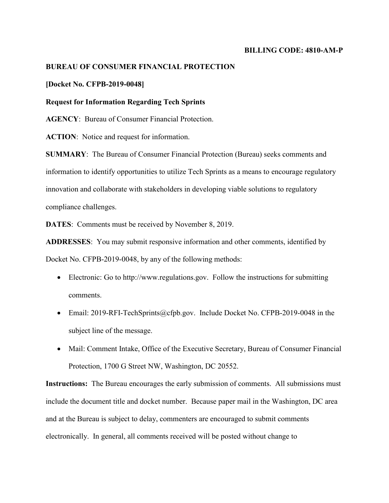## **BILLING CODE: 4810-AM-P**

# **BUREAU OF CONSUMER FINANCIAL PROTECTION**

# **[Docket No. CFPB-2019-0048]**

# **Request for Information Regarding Tech Sprints**

**AGENCY**: Bureau of Consumer Financial Protection.

**ACTION**: Notice and request for information.

**SUMMARY**: The Bureau of Consumer Financial Protection (Bureau) seeks comments and information to identify opportunities to utilize Tech Sprints as a means to encourage regulatory innovation and collaborate with stakeholders in developing viable solutions to regulatory compliance challenges.

**DATES**: Comments must be received by November 8, 2019.

**ADDRESSES**: You may submit responsive information and other comments, identified by Docket No. CFPB-2019-0048, by any of the following methods:

- Electronic: Go to http://www.regulations.gov. Follow the instructions for submitting comments.
- Email: 2019-RFI-TechSprints@cfpb.gov. Include Docket No. CFPB-2019-0048 in the subject line of the message.
- Mail: Comment Intake, Office of the Executive Secretary, Bureau of Consumer Financial Protection, 1700 G Street NW, Washington, DC 20552.

**Instructions:** The Bureau encourages the early submission of comments. All submissions must include the document title and docket number. Because paper mail in the Washington, DC area and at the Bureau is subject to delay, commenters are encouraged to submit comments electronically. In general, all comments received will be posted without change to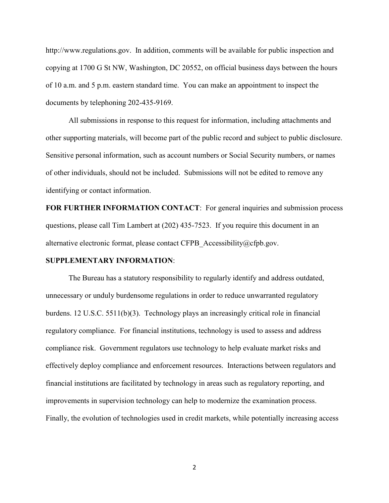http://www.regulations.gov. In addition, comments will be available for public inspection and copying at 1700 G St NW, Washington, DC 20552, on official business days between the hours of 10 a.m. and 5 p.m. eastern standard time. You can make an appointment to inspect the documents by telephoning 202-435-9169.

All submissions in response to this request for information, including attachments and other supporting materials, will become part of the public record and subject to public disclosure. Sensitive personal information, such as account numbers or Social Security numbers, or names of other individuals, should not be included. Submissions will not be edited to remove any identifying or contact information.

**FOR FURTHER INFORMATION CONTACT**: For general inquiries and submission process questions, please call Tim Lambert at (202) 435-7523. If you require this document in an alternative electronic format, please contact CFPB\_Accessibility@cfpb.gov.

#### **SUPPLEMENTARY INFORMATION**:

The Bureau has a statutory responsibility to regularly identify and address outdated, unnecessary or unduly burdensome regulations in order to reduce unwarranted regulatory burdens. 12 U.S.C. 5511(b)(3). Technology plays an increasingly critical role in financial regulatory compliance. For financial institutions, technology is used to assess and address compliance risk. Government regulators use technology to help evaluate market risks and effectively deploy compliance and enforcement resources. Interactions between regulators and financial institutions are facilitated by technology in areas such as regulatory reporting, and improvements in supervision technology can help to modernize the examination process. Finally, the evolution of technologies used in credit markets, while potentially increasing access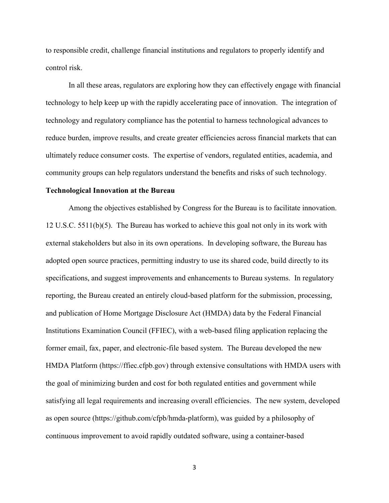to responsible credit, challenge financial institutions and regulators to properly identify and control risk.

In all these areas, regulators are exploring how they can effectively engage with financial technology to help keep up with the rapidly accelerating pace of innovation. The integration of technology and regulatory compliance has the potential to harness technological advances to reduce burden, improve results, and create greater efficiencies across financial markets that can ultimately reduce consumer costs. The expertise of vendors, regulated entities, academia, and community groups can help regulators understand the benefits and risks of such technology.

# **Technological Innovation at the Bureau**

Among the objectives established by Congress for the Bureau is to facilitate innovation. 12 U.S.C. 5511(b)(5). The Bureau has worked to achieve this goal not only in its work with external stakeholders but also in its own operations. In developing software, the Bureau has adopted open source practices, permitting industry to use its shared code, build directly to its specifications, and suggest improvements and enhancements to Bureau systems. In regulatory reporting, the Bureau created an entirely cloud-based platform for the submission, processing, and publication of Home Mortgage Disclosure Act (HMDA) data by the Federal Financial Institutions Examination Council (FFIEC), with a web-based filing application replacing the former email, fax, paper, and electronic-file based system. The Bureau developed the new HMDA Platform (https://ffiec.cfpb.gov) through extensive consultations with HMDA users with the goal of minimizing burden and cost for both regulated entities and government while satisfying all legal requirements and increasing overall efficiencies. The new system, developed as open source (https://github.com/cfpb/hmda-platform), was guided by a philosophy of continuous improvement to avoid rapidly outdated software, using a container-based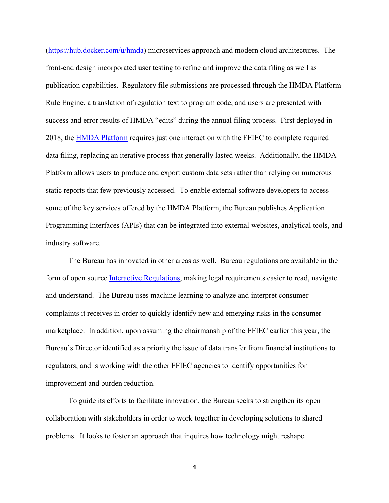[\(https://hub.docker.com/u/hmda\)](https://hub.docker.com/u/hmda) microservices approach and modern cloud architectures. The front-end design incorporated user testing to refine and improve the data filing as well as publication capabilities. Regulatory file submissions are processed through the HMDA Platform Rule Engine, a translation of regulation text to program code, and users are presented with success and error results of HMDA "edits" during the annual filing process. First deployed in 2018, the [HMDA Platform](https://ffiec.cfpb.gov/) requires just one interaction with the FFIEC to complete required data filing, replacing an iterative process that generally lasted weeks. Additionally, the HMDA Platform allows users to produce and export custom data sets rather than relying on numerous static reports that few previously accessed. To enable external software developers to access some of the key services offered by the HMDA Platform, the Bureau publishes Application Programming Interfaces (APIs) that can be integrated into external websites, analytical tools, and industry software.

The Bureau has innovated in other areas as well. Bureau regulations are available in the form of open source [Interactive Regulations,](https://www.consumerfinance.gov/policy-compliance/rulemaking/regulations/) making legal requirements easier to read, navigate and understand. The Bureau uses machine learning to analyze and interpret consumer complaints it receives in order to quickly identify new and emerging risks in the consumer marketplace. In addition, upon assuming the chairmanship of the FFIEC earlier this year, the Bureau's Director identified as a priority the issue of data transfer from financial institutions to regulators, and is working with the other FFIEC agencies to identify opportunities for improvement and burden reduction.

To guide its efforts to facilitate innovation, the Bureau seeks to strengthen its open collaboration with stakeholders in order to work together in developing solutions to shared problems. It looks to foster an approach that inquires how technology might reshape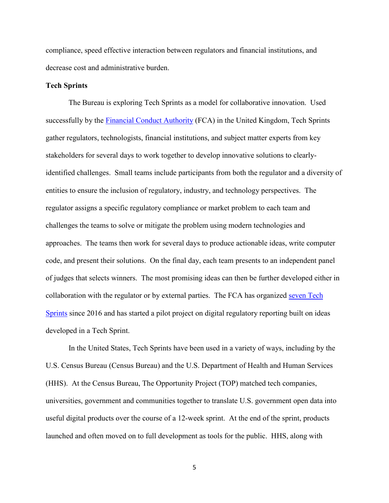compliance, speed effective interaction between regulators and financial institutions, and decrease cost and administrative burden.

# **Tech Sprints**

The Bureau is exploring Tech Sprints as a model for collaborative innovation. Used successfully by the [Financial Conduct Authority](https://www.fca.org.uk/firms/regtech/techsprints) (FCA) in the United Kingdom, Tech Sprints gather regulators, technologists, financial institutions, and subject matter experts from key stakeholders for several days to work together to develop innovative solutions to clearlyidentified challenges. Small teams include participants from both the regulator and a diversity of entities to ensure the inclusion of regulatory, industry, and technology perspectives. The regulator assigns a specific regulatory compliance or market problem to each team and challenges the teams to solve or mitigate the problem using modern technologies and approaches. The teams then work for several days to produce actionable ideas, write computer code, and present their solutions. On the final day, each team presents to an independent panel of judges that selects winners. The most promising ideas can then be further developed either in collaboration with the regulator or by external parties. The FCA has organized [seven](https://www.fca.org.uk/firms/regtech/techsprints) Tech [Sprints](https://www.fca.org.uk/firms/regtech/techsprints) since 2016 and has started a pilot project on digital regulatory reporting built on ideas developed in a Tech Sprint.

 In the United States, Tech Sprints have been used in a variety of ways, including by the U.S. Census Bureau (Census Bureau) and the U.S. Department of Health and Human Services (HHS). At the Census Bureau, The Opportunity Project (TOP) matched tech companies, universities, government and communities together to translate U.S. government open data into useful digital products over the course of a 12-week sprint. At the end of the sprint, products launched and often moved on to full development as tools for the public. HHS, along with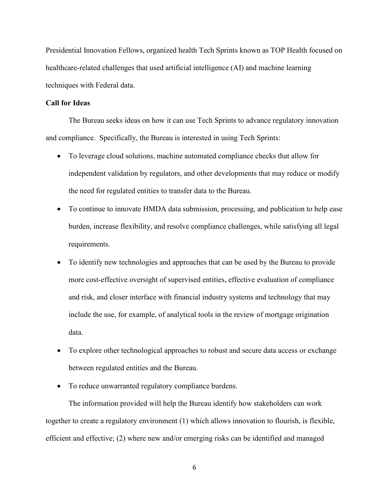Presidential Innovation Fellows, organized health Tech Sprints known as TOP Health focused on healthcare-related challenges that used artificial intelligence (AI) and machine learning techniques with Federal data.

# **Call for Ideas**

The Bureau seeks ideas on how it can use Tech Sprints to advance regulatory innovation and compliance. Specifically, the Bureau is interested in using Tech Sprints:

- To leverage cloud solutions, machine automated compliance checks that allow for independent validation by regulators, and other developments that may reduce or modify the need for regulated entities to transfer data to the Bureau.
- To continue to innovate HMDA data submission, processing, and publication to help ease burden, increase flexibility, and resolve compliance challenges, while satisfying all legal requirements.
- To identify new technologies and approaches that can be used by the Bureau to provide more cost-effective oversight of supervised entities, effective evaluation of compliance and risk, and closer interface with financial industry systems and technology that may include the use, for example, of analytical tools in the review of mortgage origination data.
- To explore other technological approaches to robust and secure data access or exchange between regulated entities and the Bureau.
- To reduce unwarranted regulatory compliance burdens.

The information provided will help the Bureau identify how stakeholders can work together to create a regulatory environment (1) which allows innovation to flourish, is flexible, efficient and effective; (2) where new and/or emerging risks can be identified and managed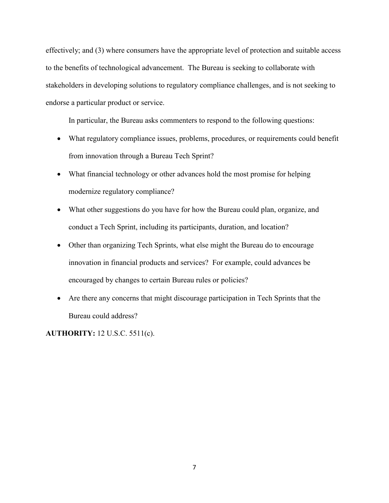effectively; and (3) where consumers have the appropriate level of protection and suitable access to the benefits of technological advancement. The Bureau is seeking to collaborate with stakeholders in developing solutions to regulatory compliance challenges, and is not seeking to endorse a particular product or service.

In particular, the Bureau asks commenters to respond to the following questions:

- What regulatory compliance issues, problems, procedures, or requirements could benefit from innovation through a Bureau Tech Sprint?
- What financial technology or other advances hold the most promise for helping modernize regulatory compliance?
- What other suggestions do you have for how the Bureau could plan, organize, and conduct a Tech Sprint, including its participants, duration, and location?
- Other than organizing Tech Sprints, what else might the Bureau do to encourage innovation in financial products and services? For example, could advances be encouraged by changes to certain Bureau rules or policies?
- Are there any concerns that might discourage participation in Tech Sprints that the Bureau could address?

**AUTHORITY:** 12 U.S.C. 5511(c).